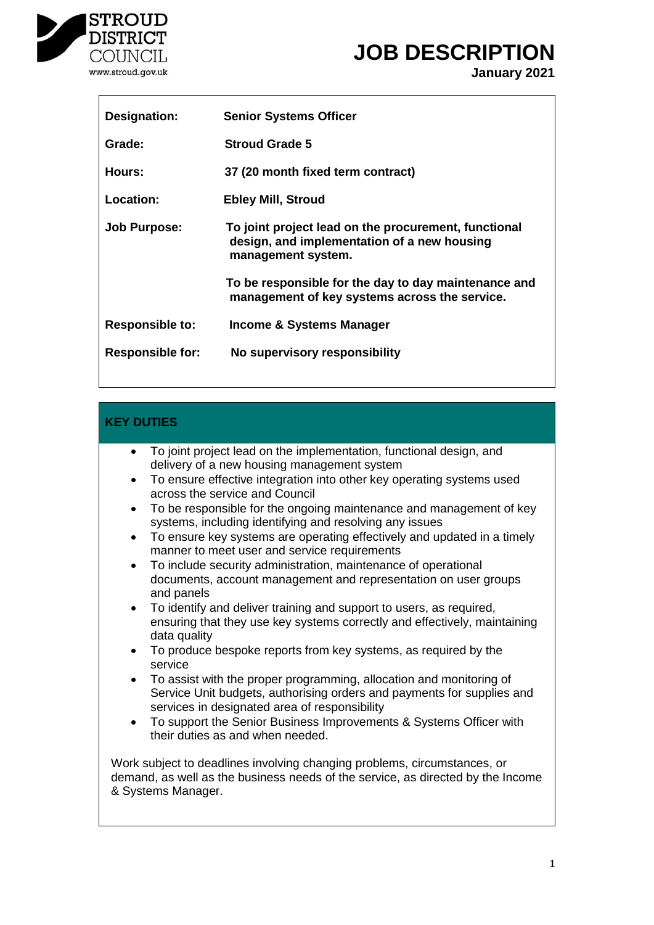

# **JOB DESCRIPTION**

**January 2021**

| Designation:            | <b>Senior Systems Officer</b>                                                                                             |
|-------------------------|---------------------------------------------------------------------------------------------------------------------------|
| Grade:                  | <b>Stroud Grade 5</b>                                                                                                     |
| Hours:                  | 37 (20 month fixed term contract)                                                                                         |
| Location:               | <b>Ebley Mill, Stroud</b>                                                                                                 |
| <b>Job Purpose:</b>     | To joint project lead on the procurement, functional<br>design, and implementation of a new housing<br>management system. |
|                         | To be responsible for the day to day maintenance and<br>management of key systems across the service.                     |
| <b>Responsible to:</b>  | Income & Systems Manager                                                                                                  |
| <b>Responsible for:</b> | No supervisory responsibility                                                                                             |

# **KEY DUTIES**

- To joint project lead on the implementation, functional design, and delivery of a new housing management system
- To ensure effective integration into other key operating systems used across the service and Council
- To be responsible for the ongoing maintenance and management of key systems, including identifying and resolving any issues
- To ensure key systems are operating effectively and updated in a timely manner to meet user and service requirements
- To include security administration, maintenance of operational documents, account management and representation on user groups and panels
- To identify and deliver training and support to users, as required, ensuring that they use key systems correctly and effectively, maintaining data quality
- To produce bespoke reports from key systems, as required by the service
- To assist with the proper programming, allocation and monitoring of Service Unit budgets, authorising orders and payments for supplies and services in designated area of responsibility
- To support the Senior Business Improvements & Systems Officer with their duties as and when needed.

Work subject to deadlines involving changing problems, circumstances, or demand, as well as the business needs of the service, as directed by the Income & Systems Manager.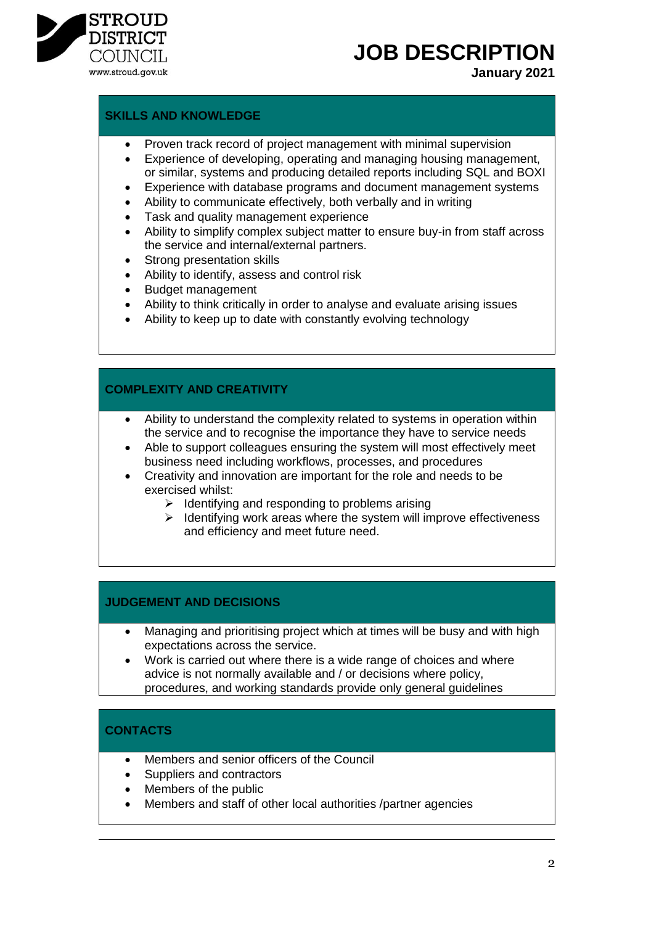

**JOB DESCRIPTION**

**January 2021**

#### **SKILLS AND KNOWLEDGE**

- Proven track record of project management with minimal supervision
- Experience of developing, operating and managing housing management, or similar, systems and producing detailed reports including SQL and BOXI
- Experience with database programs and document management systems
- Ability to communicate effectively, both verbally and in writing
- Task and quality management experience
- Ability to simplify complex subject matter to ensure buy-in from staff across the service and internal/external partners.
- Strong presentation skills
- Ability to identify, assess and control risk
- Budget management
- Ability to think critically in order to analyse and evaluate arising issues
- Ability to keep up to date with constantly evolving technology

#### **COMPLEXITY AND CREATIVITY**

- Ability to understand the complexity related to systems in operation within the service and to recognise the importance they have to service needs
- Able to support colleagues ensuring the system will most effectively meet business need including workflows, processes, and procedures
- Creativity and innovation are important for the role and needs to be exercised whilst:
	- $\triangleright$  Identifying and responding to problems arising
	- $\triangleright$  Identifying work areas where the system will improve effectiveness and efficiency and meet future need.

#### **JUDGEMENT AND DECISIONS**

- Managing and prioritising project which at times will be busy and with high expectations across the service.
- Work is carried out where there is a wide range of choices and where advice is not normally available and / or decisions where policy, procedures, and working standards provide only general guidelines

# **CONTACTS**

- Members and senior officers of the Council
- Suppliers and contractors
- Members of the public
- Members and staff of other local authorities /partner agencies